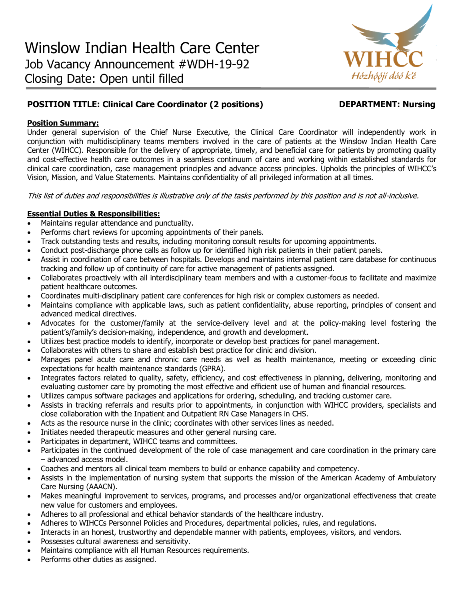

# **POSITION TITLE: Clinical Care Coordinator (2 positions) DEPARTMENT: Nursing**

# **Position Summary:**

Under general supervision of the Chief Nurse Executive, the Clinical Care Coordinator will independently work in conjunction with multidisciplinary teams members involved in the care of patients at the Winslow Indian Health Care Center (WIHCC). Responsible for the delivery of appropriate, timely, and beneficial care for patients by promoting quality and cost-effective health care outcomes in a seamless continuum of care and working within established standards for clinical care coordination, case management principles and advance access principles. Upholds the principles of WIHCC's Vision, Mission, and Value Statements. Maintains confidentiality of all privileged information at all times.

This list of duties and responsibilities is illustrative only of the tasks performed by this position and is not all-inclusive.

# **Essential Duties & Responsibilities:**

- Maintains regular attendance and punctuality.
- Performs chart reviews for upcoming appointments of their panels.
- Track outstanding tests and results, including monitoring consult results for upcoming appointments.
- Conduct post-discharge phone calls as follow up for identified high risk patients in their patient panels.
- Assist in coordination of care between hospitals. Develops and maintains internal patient care database for continuous tracking and follow up of continuity of care for active management of patients assigned.
- Collaborates proactively with all interdisciplinary team members and with a customer-focus to facilitate and maximize patient healthcare outcomes.
- Coordinates multi-disciplinary patient care conferences for high risk or complex customers as needed.
- Maintains compliance with applicable laws, such as patient confidentiality, abuse reporting, principles of consent and advanced medical directives.
- Advocates for the customer/family at the service-delivery level and at the policy-making level fostering the patient's/family's decision-making, independence, and growth and development.
- Utilizes best practice models to identify, incorporate or develop best practices for panel management.
- Collaborates with others to share and establish best practice for clinic and division.
- Manages panel acute care and chronic care needs as well as health maintenance, meeting or exceeding clinic expectations for health maintenance standards (GPRA).
- Integrates factors related to quality, safety, efficiency, and cost effectiveness in planning, delivering, monitoring and evaluating customer care by promoting the most effective and efficient use of human and financial resources.
- Utilizes campus software packages and applications for ordering, scheduling, and tracking customer care.
- Assists in tracking referrals and results prior to appointments, in conjunction with WIHCC providers, specialists and close collaboration with the Inpatient and Outpatient RN Case Managers in CHS.
- Acts as the resource nurse in the clinic; coordinates with other services lines as needed.
- Initiates needed therapeutic measures and other general nursing care.
- Participates in department, WIHCC teams and committees.
- Participates in the continued development of the role of case management and care coordination in the primary care – advanced access model.
- Coaches and mentors all clinical team members to build or enhance capability and competency.
- Assists in the implementation of nursing system that supports the mission of the American Academy of Ambulatory Care Nursing (AAACN).
- Makes meaningful improvement to services, programs, and processes and/or organizational effectiveness that create new value for customers and employees.
- Adheres to all professional and ethical behavior standards of the healthcare industry.
- Adheres to WIHCCs Personnel Policies and Procedures, departmental policies, rules, and regulations.
- Interacts in an honest, trustworthy and dependable manner with patients, employees, visitors, and vendors.
- Possesses cultural awareness and sensitivity.
- Maintains compliance with all Human Resources requirements.
- Performs other duties as assigned.